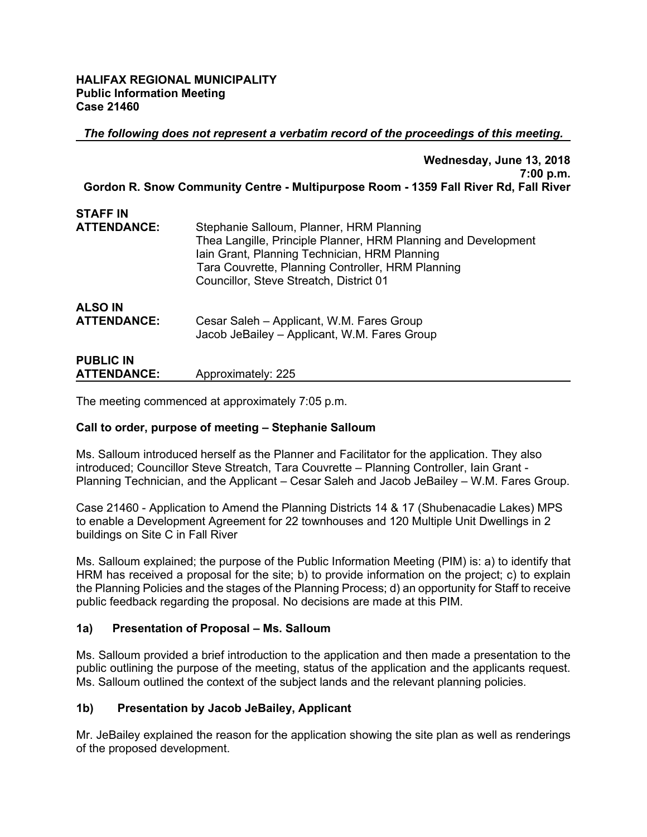#### **HALIFAX REGIONAL MUNICIPALITY Public Information Meeting Case 21460**

*The following does not represent a verbatim record of the proceedings of this meeting.*

|                                        | Wednesday, June 13, 2018<br>7:00 p.m.<br>Gordon R. Snow Community Centre - Multipurpose Room - 1359 Fall River Rd, Fall River                                                                                                                               |
|----------------------------------------|-------------------------------------------------------------------------------------------------------------------------------------------------------------------------------------------------------------------------------------------------------------|
|                                        |                                                                                                                                                                                                                                                             |
| <b>STAFF IN</b>                        |                                                                                                                                                                                                                                                             |
| <b>ATTENDANCE:</b>                     | Stephanie Salloum, Planner, HRM Planning<br>Thea Langille, Principle Planner, HRM Planning and Development<br>Iain Grant, Planning Technician, HRM Planning<br>Tara Couvrette, Planning Controller, HRM Planning<br>Councillor, Steve Streatch, District 01 |
| <b>ALSO IN</b><br><b>ATTENDANCE:</b>   | Cesar Saleh - Applicant, W.M. Fares Group<br>Jacob JeBailey - Applicant, W.M. Fares Group                                                                                                                                                                   |
| <b>PUBLIC IN</b><br><b>ATTENDANCE:</b> | Approximately: 225                                                                                                                                                                                                                                          |

The meeting commenced at approximately 7:05 p.m.

## **Call to order, purpose of meeting – Stephanie Salloum**

Ms. Salloum introduced herself as the Planner and Facilitator for the application. They also introduced; Councillor Steve Streatch, Tara Couvrette – Planning Controller, Iain Grant - Planning Technician, and the Applicant – Cesar Saleh and Jacob JeBailey – W.M. Fares Group.

Case 21460 - Application to Amend the Planning Districts 14 & 17 (Shubenacadie Lakes) MPS to enable a Development Agreement for 22 townhouses and 120 Multiple Unit Dwellings in 2 buildings on Site C in Fall River

Ms. Salloum explained; the purpose of the Public Information Meeting (PIM) is: a) to identify that HRM has received a proposal for the site; b) to provide information on the project; c) to explain the Planning Policies and the stages of the Planning Process; d) an opportunity for Staff to receive public feedback regarding the proposal. No decisions are made at this PIM.

#### **1a) Presentation of Proposal – Ms. Salloum**

Ms. Salloum provided a brief introduction to the application and then made a presentation to the public outlining the purpose of the meeting, status of the application and the applicants request. Ms. Salloum outlined the context of the subject lands and the relevant planning policies.

## **1b) Presentation by Jacob JeBailey, Applicant**

Mr. JeBailey explained the reason for the application showing the site plan as well as renderings of the proposed development.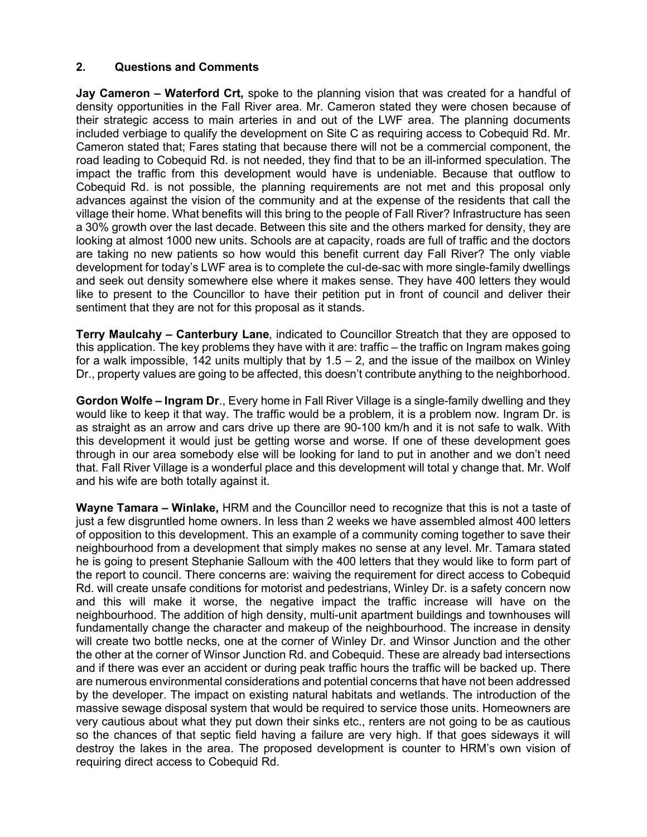## **2. Questions and Comments**

**Jay Cameron – Waterford Crt,** spoke to the planning vision that was created for a handful of density opportunities in the Fall River area. Mr. Cameron stated they were chosen because of their strategic access to main arteries in and out of the LWF area. The planning documents included verbiage to qualify the development on Site C as requiring access to Cobequid Rd. Mr. Cameron stated that; Fares stating that because there will not be a commercial component, the road leading to Cobequid Rd. is not needed, they find that to be an ill-informed speculation. The impact the traffic from this development would have is undeniable. Because that outflow to Cobequid Rd. is not possible, the planning requirements are not met and this proposal only advances against the vision of the community and at the expense of the residents that call the village their home. What benefits will this bring to the people of Fall River? Infrastructure has seen a 30% growth over the last decade. Between this site and the others marked for density, they are looking at almost 1000 new units. Schools are at capacity, roads are full of traffic and the doctors are taking no new patients so how would this benefit current day Fall River? The only viable development for today's LWF area is to complete the cul-de-sac with more single-family dwellings and seek out density somewhere else where it makes sense. They have 400 letters they would like to present to the Councillor to have their petition put in front of council and deliver their sentiment that they are not for this proposal as it stands.

**Terry Maulcahy – Canterbury Lane**, indicated to Councillor Streatch that they are opposed to this application. The key problems they have with it are: traffic – the traffic on Ingram makes going for a walk impossible, 142 units multiply that by  $1.5 - 2$ , and the issue of the mailbox on Winley Dr., property values are going to be affected, this doesn't contribute anything to the neighborhood.

**Gordon Wolfe – Ingram Dr**., Every home in Fall River Village is a single-family dwelling and they would like to keep it that way. The traffic would be a problem, it is a problem now. Ingram Dr. is as straight as an arrow and cars drive up there are 90-100 km/h and it is not safe to walk. With this development it would just be getting worse and worse. If one of these development goes through in our area somebody else will be looking for land to put in another and we don't need that. Fall River Village is a wonderful place and this development will total y change that. Mr. Wolf and his wife are both totally against it.

**Wayne Tamara – Winlake,** HRM and the Councillor need to recognize that this is not a taste of just a few disgruntled home owners. In less than 2 weeks we have assembled almost 400 letters of opposition to this development. This an example of a community coming together to save their neighbourhood from a development that simply makes no sense at any level. Mr. Tamara stated he is going to present Stephanie Salloum with the 400 letters that they would like to form part of the report to council. There concerns are: waiving the requirement for direct access to Cobequid Rd. will create unsafe conditions for motorist and pedestrians, Winley Dr. is a safety concern now and this will make it worse, the negative impact the traffic increase will have on the neighbourhood. The addition of high density, multi-unit apartment buildings and townhouses will fundamentally change the character and makeup of the neighbourhood. The increase in density will create two bottle necks, one at the corner of Winley Dr. and Winsor Junction and the other the other at the corner of Winsor Junction Rd. and Cobequid. These are already bad intersections and if there was ever an accident or during peak traffic hours the traffic will be backed up. There are numerous environmental considerations and potential concerns that have not been addressed by the developer. The impact on existing natural habitats and wetlands. The introduction of the massive sewage disposal system that would be required to service those units. Homeowners are very cautious about what they put down their sinks etc., renters are not going to be as cautious so the chances of that septic field having a failure are very high. If that goes sideways it will destroy the lakes in the area. The proposed development is counter to HRM's own vision of requiring direct access to Cobequid Rd.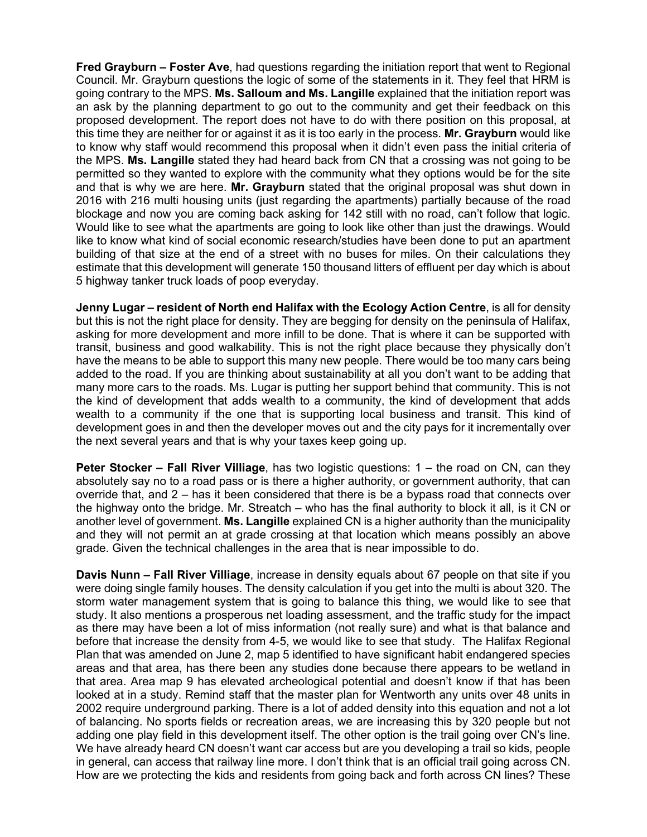**Fred Grayburn – Foster Ave**, had questions regarding the initiation report that went to Regional Council. Mr. Grayburn questions the logic of some of the statements in it. They feel that HRM is going contrary to the MPS. **Ms. Salloum and Ms. Langille** explained that the initiation report was an ask by the planning department to go out to the community and get their feedback on this proposed development. The report does not have to do with there position on this proposal, at this time they are neither for or against it as it is too early in the process. **Mr. Grayburn** would like to know why staff would recommend this proposal when it didn't even pass the initial criteria of the MPS. **Ms. Langille** stated they had heard back from CN that a crossing was not going to be permitted so they wanted to explore with the community what they options would be for the site and that is why we are here. **Mr. Grayburn** stated that the original proposal was shut down in 2016 with 216 multi housing units (just regarding the apartments) partially because of the road blockage and now you are coming back asking for 142 still with no road, can't follow that logic. Would like to see what the apartments are going to look like other than just the drawings. Would like to know what kind of social economic research/studies have been done to put an apartment building of that size at the end of a street with no buses for miles. On their calculations they estimate that this development will generate 150 thousand litters of effluent per day which is about 5 highway tanker truck loads of poop everyday.

**Jenny Lugar – resident of North end Halifax with the Ecology Action Centre**, is all for density but this is not the right place for density. They are begging for density on the peninsula of Halifax, asking for more development and more infill to be done. That is where it can be supported with transit, business and good walkability. This is not the right place because they physically don't have the means to be able to support this many new people. There would be too many cars being added to the road. If you are thinking about sustainability at all you don't want to be adding that many more cars to the roads. Ms. Lugar is putting her support behind that community. This is not the kind of development that adds wealth to a community, the kind of development that adds wealth to a community if the one that is supporting local business and transit. This kind of development goes in and then the developer moves out and the city pays for it incrementally over the next several years and that is why your taxes keep going up.

**Peter Stocker – Fall River Villiage**, has two logistic questions: 1 – the road on CN, can they absolutely say no to a road pass or is there a higher authority, or government authority, that can override that, and 2 – has it been considered that there is be a bypass road that connects over the highway onto the bridge. Mr. Streatch – who has the final authority to block it all, is it CN or another level of government. **Ms. Langille** explained CN is a higher authority than the municipality and they will not permit an at grade crossing at that location which means possibly an above grade. Given the technical challenges in the area that is near impossible to do.

**Davis Nunn – Fall River Villiage**, increase in density equals about 67 people on that site if you were doing single family houses. The density calculation if you get into the multi is about 320. The storm water management system that is going to balance this thing, we would like to see that study. It also mentions a prosperous net loading assessment, and the traffic study for the impact as there may have been a lot of miss information (not really sure) and what is that balance and before that increase the density from 4-5, we would like to see that study. The Halifax Regional Plan that was amended on June 2, map 5 identified to have significant habit endangered species areas and that area, has there been any studies done because there appears to be wetland in that area. Area map 9 has elevated archeological potential and doesn't know if that has been looked at in a study. Remind staff that the master plan for Wentworth any units over 48 units in 2002 require underground parking. There is a lot of added density into this equation and not a lot of balancing. No sports fields or recreation areas, we are increasing this by 320 people but not adding one play field in this development itself. The other option is the trail going over CN's line. We have already heard CN doesn't want car access but are you developing a trail so kids, people in general, can access that railway line more. I don't think that is an official trail going across CN. How are we protecting the kids and residents from going back and forth across CN lines? These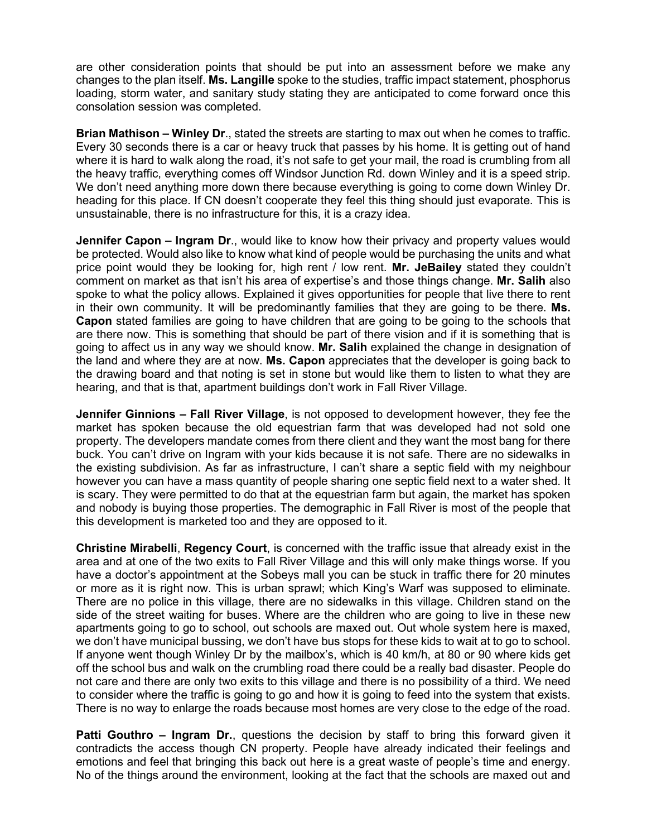are other consideration points that should be put into an assessment before we make any changes to the plan itself. **Ms. Langille** spoke to the studies, traffic impact statement, phosphorus loading, storm water, and sanitary study stating they are anticipated to come forward once this consolation session was completed.

**Brian Mathison – Winley Dr**., stated the streets are starting to max out when he comes to traffic. Every 30 seconds there is a car or heavy truck that passes by his home. It is getting out of hand where it is hard to walk along the road, it's not safe to get your mail, the road is crumbling from all the heavy traffic, everything comes off Windsor Junction Rd. down Winley and it is a speed strip. We don't need anything more down there because everything is going to come down Winley Dr. heading for this place. If CN doesn't cooperate they feel this thing should just evaporate. This is unsustainable, there is no infrastructure for this, it is a crazy idea.

**Jennifer Capon – Ingram Dr**., would like to know how their privacy and property values would be protected. Would also like to know what kind of people would be purchasing the units and what price point would they be looking for, high rent / low rent. **Mr. JeBailey** stated they couldn't comment on market as that isn't his area of expertise's and those things change. **Mr. Salih** also spoke to what the policy allows. Explained it gives opportunities for people that live there to rent in their own community. It will be predominantly families that they are going to be there. **Ms. Capon** stated families are going to have children that are going to be going to the schools that are there now. This is something that should be part of there vision and if it is something that is going to affect us in any way we should know. **Mr. Salih** explained the change in designation of the land and where they are at now. **Ms. Capon** appreciates that the developer is going back to the drawing board and that noting is set in stone but would like them to listen to what they are hearing, and that is that, apartment buildings don't work in Fall River Village.

**Jennifer Ginnions – Fall River Village**, is not opposed to development however, they fee the market has spoken because the old equestrian farm that was developed had not sold one property. The developers mandate comes from there client and they want the most bang for there buck. You can't drive on Ingram with your kids because it is not safe. There are no sidewalks in the existing subdivision. As far as infrastructure, I can't share a septic field with my neighbour however you can have a mass quantity of people sharing one septic field next to a water shed. It is scary. They were permitted to do that at the equestrian farm but again, the market has spoken and nobody is buying those properties. The demographic in Fall River is most of the people that this development is marketed too and they are opposed to it.

**Christine Mirabelli**, **Regency Court**, is concerned with the traffic issue that already exist in the area and at one of the two exits to Fall River Village and this will only make things worse. If you have a doctor's appointment at the Sobeys mall you can be stuck in traffic there for 20 minutes or more as it is right now. This is urban sprawl; which King's Warf was supposed to eliminate. There are no police in this village, there are no sidewalks in this village. Children stand on the side of the street waiting for buses. Where are the children who are going to live in these new apartments going to go to school, out schools are maxed out. Out whole system here is maxed, we don't have municipal bussing, we don't have bus stops for these kids to wait at to go to school. If anyone went though Winley Dr by the mailbox's, which is 40 km/h, at 80 or 90 where kids get off the school bus and walk on the crumbling road there could be a really bad disaster. People do not care and there are only two exits to this village and there is no possibility of a third. We need to consider where the traffic is going to go and how it is going to feed into the system that exists. There is no way to enlarge the roads because most homes are very close to the edge of the road.

**Patti Gouthro – Ingram Dr.**, questions the decision by staff to bring this forward given it contradicts the access though CN property. People have already indicated their feelings and emotions and feel that bringing this back out here is a great waste of people's time and energy. No of the things around the environment, looking at the fact that the schools are maxed out and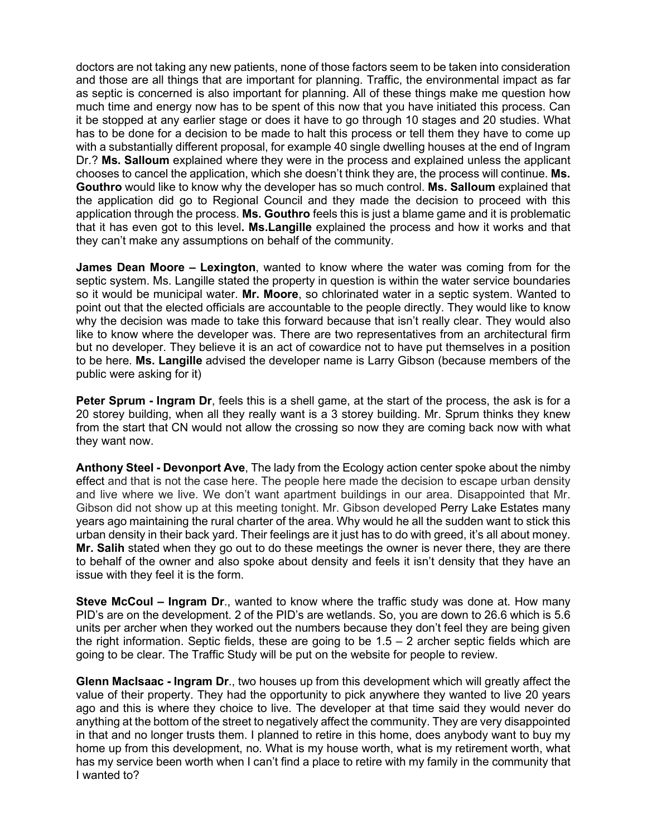doctors are not taking any new patients, none of those factors seem to be taken into consideration and those are all things that are important for planning. Traffic, the environmental impact as far as septic is concerned is also important for planning. All of these things make me question how much time and energy now has to be spent of this now that you have initiated this process. Can it be stopped at any earlier stage or does it have to go through 10 stages and 20 studies. What has to be done for a decision to be made to halt this process or tell them they have to come up with a substantially different proposal, for example 40 single dwelling houses at the end of Ingram Dr.? **Ms. Salloum** explained where they were in the process and explained unless the applicant chooses to cancel the application, which she doesn't think they are, the process will continue. **Ms. Gouthro** would like to know why the developer has so much control. **Ms. Salloum** explained that the application did go to Regional Council and they made the decision to proceed with this application through the process. **Ms. Gouthro** feels this is just a blame game and it is problematic that it has even got to this level**. Ms.Langille** explained the process and how it works and that they can't make any assumptions on behalf of the community.

**James Dean Moore – Lexington**, wanted to know where the water was coming from for the septic system. Ms. Langille stated the property in question is within the water service boundaries so it would be municipal water. **Mr. Moore**, so chlorinated water in a septic system. Wanted to point out that the elected officials are accountable to the people directly. They would like to know why the decision was made to take this forward because that isn't really clear. They would also like to know where the developer was. There are two representatives from an architectural firm but no developer. They believe it is an act of cowardice not to have put themselves in a position to be here. **Ms. Langille** advised the developer name is Larry Gibson (because members of the public were asking for it)

**Peter Sprum - Ingram Dr**, feels this is a shell game, at the start of the process, the ask is for a 20 storey building, when all they really want is a 3 storey building. Mr. Sprum thinks they knew from the start that CN would not allow the crossing so now they are coming back now with what they want now.

**Anthony Steel - Devonport Ave**[, The lady from the Ecology action center spoke about the nimby](https://www.google.ca/search?rlz=1T4NDKB_enCA589CA589&q=The+nimby+effect&spell=1&sa=X&ved=0ahUKEwiqzv614dPbAhUkwYMKHQM9AR0QBQgkKAA) [effect](https://www.google.ca/search?rlz=1T4NDKB_enCA589CA589&q=The+nimby+effect&spell=1&sa=X&ved=0ahUKEwiqzv614dPbAhUkwYMKHQM9AR0QBQgkKAA) and that is not the case here. The people here made the decision to escape urban density and live where we live. We don't want apartment buildings in our area. Disappointed that Mr. Gibson did not show up at this meeting tonight. Mr. Gibson developed Perry Lake Estates many years ago maintaining the rural charter of the area. Why would he all the sudden want to stick this urban density in their back yard. Their feelings are it just has to do with greed, it's all about money. **Mr. Salih** stated when they go out to do these meetings the owner is never there, they are there to behalf of the owner and also spoke about density and feels it isn't density that they have an issue with they feel it is the form.

**Steve McCoul – Ingram Dr**., wanted to know where the traffic study was done at. How many PID's are on the development. 2 of the PID's are wetlands. So, you are down to 26.6 which is 5.6 units per archer when they worked out the numbers because they don't feel they are being given the right information. Septic fields, these are going to be  $1.5 - 2$  archer septic fields which are going to be clear. The Traffic Study will be put on the website for people to review.

**Glenn MacIsaac - Ingram Dr**., two houses up from this development which will greatly affect the value of their property. They had the opportunity to pick anywhere they wanted to live 20 years ago and this is where they choice to live. The developer at that time said they would never do anything at the bottom of the street to negatively affect the community. They are very disappointed in that and no longer trusts them. I planned to retire in this home, does anybody want to buy my home up from this development, no. What is my house worth, what is my retirement worth, what has my service been worth when I can't find a place to retire with my family in the community that I wanted to?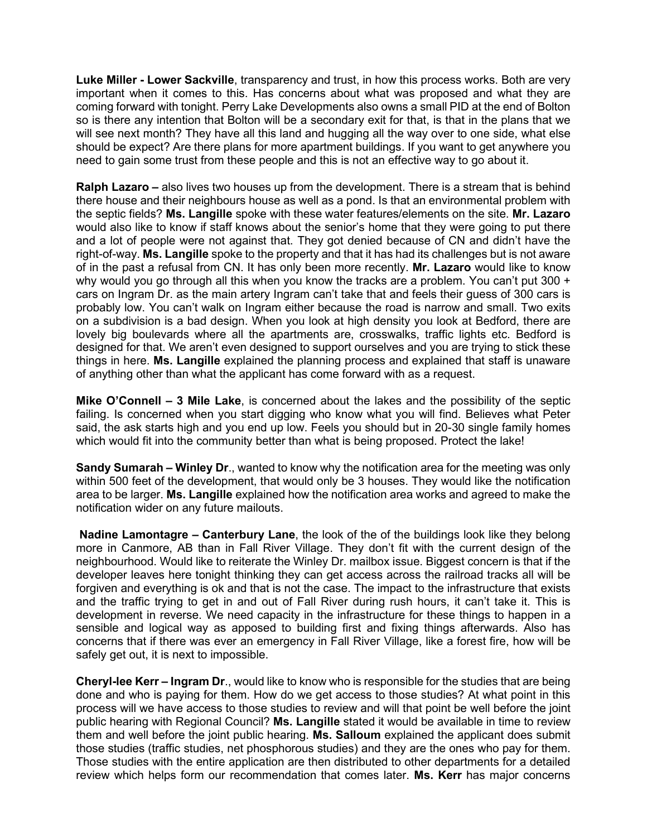**Luke Miller - Lower Sackville**, transparency and trust, in how this process works. Both are very important when it comes to this. Has concerns about what was proposed and what they are coming forward with tonight. Perry Lake Developments also owns a small PID at the end of Bolton so is there any intention that Bolton will be a secondary exit for that, is that in the plans that we will see next month? They have all this land and hugging all the way over to one side, what else should be expect? Are there plans for more apartment buildings. If you want to get anywhere you need to gain some trust from these people and this is not an effective way to go about it.

**Ralph Lazaro –** also lives two houses up from the development. There is a stream that is behind there house and their neighbours house as well as a pond. Is that an environmental problem with the septic fields? **Ms. Langille** spoke with these water features/elements on the site. **Mr. Lazaro** would also like to know if staff knows about the senior's home that they were going to put there and a lot of people were not against that. They got denied because of CN and didn't have the right-of-way. **Ms. Langille** spoke to the property and that it has had its challenges but is not aware of in the past a refusal from CN. It has only been more recently. **Mr. Lazaro** would like to know why would you go through all this when you know the tracks are a problem. You can't put 300  $+$ cars on Ingram Dr. as the main artery Ingram can't take that and feels their guess of 300 cars is probably low. You can't walk on Ingram either because the road is narrow and small. Two exits on a subdivision is a bad design. When you look at high density you look at Bedford, there are lovely big boulevards where all the apartments are, crosswalks, traffic lights etc. Bedford is designed for that. We aren't even designed to support ourselves and you are trying to stick these things in here. **Ms. Langille** explained the planning process and explained that staff is unaware of anything other than what the applicant has come forward with as a request.

**Mike O'Connell – 3 Mile Lake**, is concerned about the lakes and the possibility of the septic failing. Is concerned when you start digging who know what you will find. Believes what Peter said, the ask starts high and you end up low. Feels you should but in 20-30 single family homes which would fit into the community better than what is being proposed. Protect the lake!

**Sandy Sumarah – Winley Dr**., wanted to know why the notification area for the meeting was only within 500 feet of the development, that would only be 3 houses. They would like the notification area to be larger. **Ms. Langille** explained how the notification area works and agreed to make the notification wider on any future mailouts.

**Nadine Lamontagre – Canterbury Lane**, the look of the of the buildings look like they belong more in Canmore, AB than in Fall River Village. They don't fit with the current design of the neighbourhood. Would like to reiterate the Winley Dr. mailbox issue. Biggest concern is that if the developer leaves here tonight thinking they can get access across the railroad tracks all will be forgiven and everything is ok and that is not the case. The impact to the infrastructure that exists and the traffic trying to get in and out of Fall River during rush hours, it can't take it. This is development in reverse. We need capacity in the infrastructure for these things to happen in a sensible and logical way as apposed to building first and fixing things afterwards. Also has concerns that if there was ever an emergency in Fall River Village, like a forest fire, how will be safely get out, it is next to impossible.

**Cheryl-lee Kerr – Ingram Dr**., would like to know who is responsible for the studies that are being done and who is paying for them. How do we get access to those studies? At what point in this process will we have access to those studies to review and will that point be well before the joint public hearing with Regional Council? **Ms. Langille** stated it would be available in time to review them and well before the joint public hearing. **Ms. Salloum** explained the applicant does submit those studies (traffic studies, net phosphorous studies) and they are the ones who pay for them. Those studies with the entire application are then distributed to other departments for a detailed review which helps form our recommendation that comes later. **Ms. Kerr** has major concerns